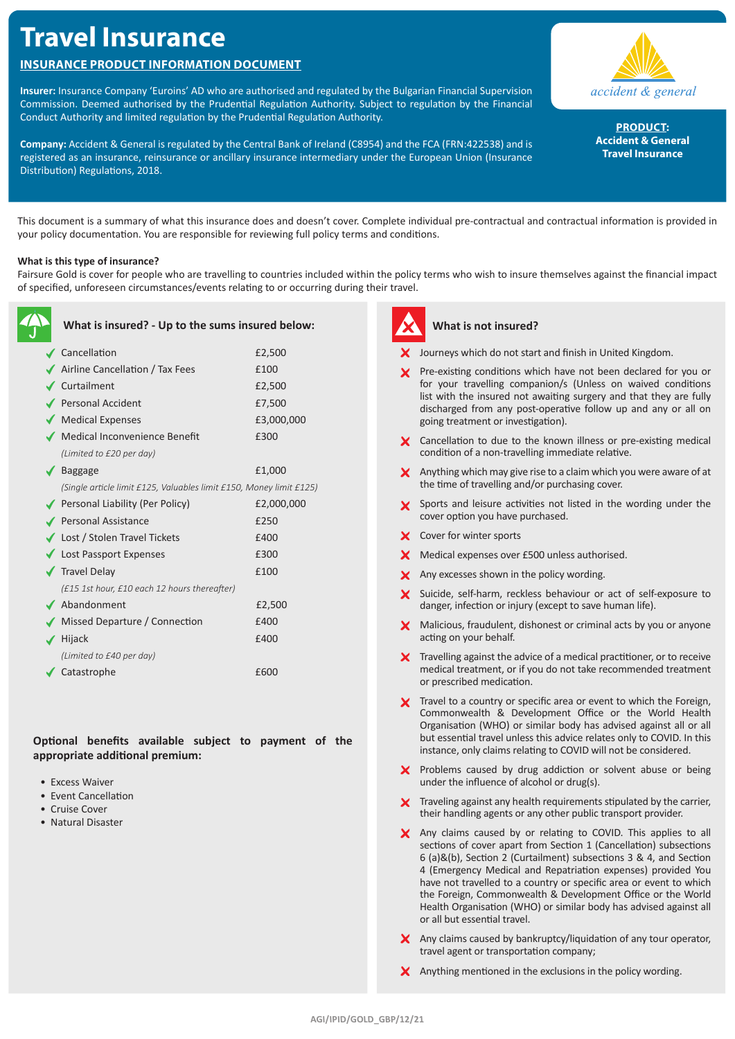# **Travel Insurance**

# **INSURANCE PRODUCT INFORMATION DOCUMENT**

**Insurer:** Insurance Company 'Euroins' AD who are authorised and regulated by the Bulgarian Financial Supervision Commission. Deemed authorised by the Prudential Regulation Authority. Subject to regulation by the Financial Conduct Authority and limited regulation by the Prudential Regulation Authority.

**Company:** Accident & General is regulated by the Central Bank of Ireland (C8954) and the FCA (FRN:422538) and is registered as an insurance, reinsurance or ancillary insurance intermediary under the European Union (Insurance Distribution) Regulations, 2018.



**PRODUCT: Accident & General Travel Insurance**

This document is a summary of what this insurance does and doesn't cover. Complete individual pre-contractual and contractual information is provided in your policy documentation. You are responsible for reviewing full policy terms and conditions.

### **What is this type of insurance?**

Fairsure Gold is cover for people who are travelling to countries included within the policy terms who wish to insure themselves against the financial impact of specified, unforeseen circumstances/events relating to or occurring during their travel.

| What is insured? - Up to the sums insured below:                    |            |
|---------------------------------------------------------------------|------------|
| Cancellation                                                        | £2,500     |
| Airline Cancellation / Tax Fees                                     | £100       |
| Curtailment                                                         | £2,500     |
| Personal Accident                                                   | £7,500     |
| Medical Expenses                                                    | £3,000,000 |
| √ Medical Inconvenience Benefit                                     | £300       |
| (Limited to £20 per day)                                            |            |
| <b>Baggage</b>                                                      | £1,000     |
| (Single article limit £125, Valuables limit £150, Money limit £125) |            |
| ◆ Personal Liability (Per Policy)                                   | £2,000,000 |
| Personal Assistance                                                 | £250       |
| ◆ Lost / Stolen Travel Tickets                                      | £400       |
| ◆ Lost Passport Expenses                                            | £300       |
| $\sqrt{\phantom{a}}$ Travel Delay                                   | £100       |
| (£15 1st hour, £10 each 12 hours thereafter)                        |            |
| ◆ Abandonment                                                       | £2,500     |
| ◆ Missed Departure / Connection                                     | £400       |
| Hijack                                                              | £400       |
| (Limited to £40 per day)                                            |            |
| Catastrophe                                                         | £600       |
|                                                                     |            |

**Optional benefits available subject to payment of the appropriate additional premium:**

- Excess Waiver
- Event Cancellation
- Cruise Cover
- Natural Disaster



#### **What is not insured?**

- $\boldsymbol{\times}$  Journeys which do not start and finish in United Kingdom.
- X Pre-existing conditions which have not been declared for you or for your travelling companion/s (Unless on waived conditions list with the insured not awaiting surgery and that they are fully discharged from any post-operative follow up and any or all on going treatment or investigation).
- X Cancellation to due to the known illness or pre-existing medical condition of a non-travelling immediate relative.
- $\boldsymbol{\times}$  Anything which may give rise to a claim which you were aware of at the time of travelling and/or purchasing cover.
- Sports and leisure activities not listed in the wording under the cover option you have purchased.
- X Cover for winter sports
- **X** Medical expenses over £500 unless authorised.
- X Any excesses shown in the policy wording.
- X Suicide, self-harm, reckless behaviour or act of self-exposure to danger, infection or injury (except to save human life).
- $\boldsymbol{\times}$  Malicious, fraudulent, dishonest or criminal acts by you or anyone acting on your behalf.
- $\boldsymbol{\times}$  Travelling against the advice of a medical practitioner, or to receive medical treatment, or if you do not take recommended treatment or prescribed medication.
- X Travel to a country or specific area or event to which the Foreign, Commonwealth & Development Office or the World Health Organisation (WHO) or similar body has advised against all or all but essential travel unless this advice relates only to COVID. In this instance, only claims relating to COVID will not be considered.
- $\boldsymbol{\times}$  Problems caused by drug addiction or solvent abuse or being under the influence of alcohol or drug(s).
- X Traveling against any health requirements stipulated by the carrier, their handling agents or any other public transport provider.
- X Any claims caused by or relating to COVID. This applies to all sections of cover apart from Section 1 (Cancellation) subsections 6 (a)&(b), Section 2 (Curtailment) subsections 3 & 4, and Section 4 (Emergency Medical and Repatriation expenses) provided You have not travelled to a country or specific area or event to which the Foreign, Commonwealth & Development Office or the World Health Organisation (WHO) or similar body has advised against all or all but essential travel.
- $\chi$  Any claims caused by bankruptcy/liquidation of any tour operator, travel agent or transportation company;
- $\boldsymbol{\times}$  Anything mentioned in the exclusions in the policy wording.